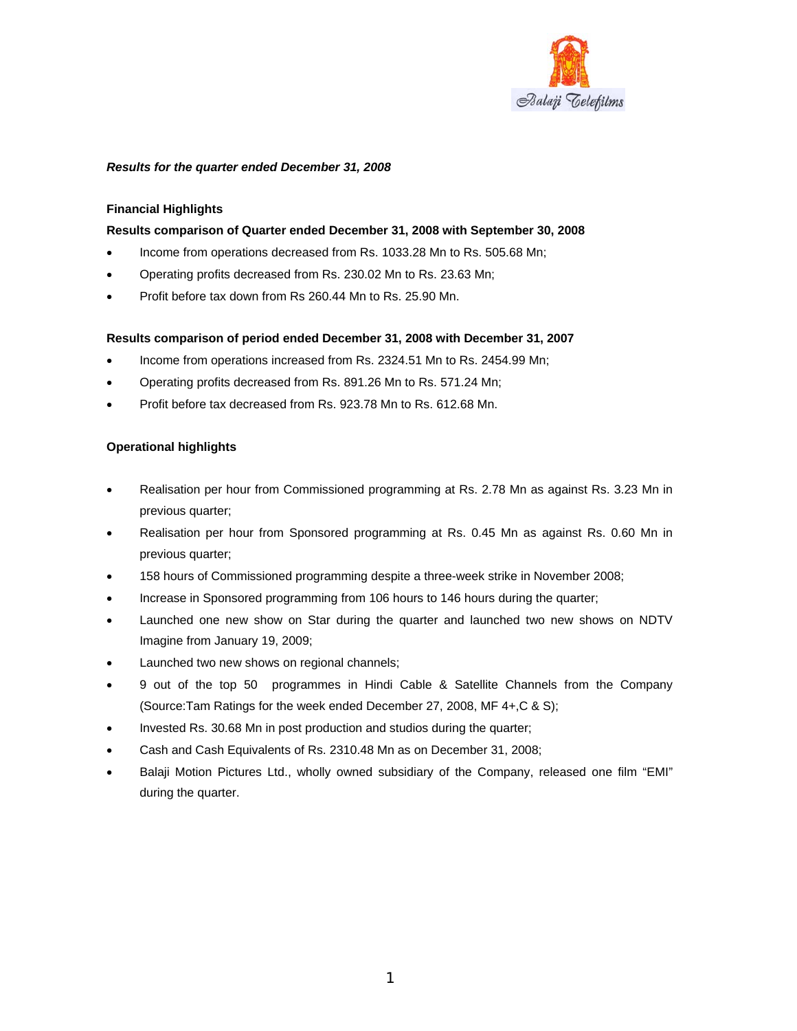

## *Results for the quarter ended December 31, 2008*

### **Financial Highlights**

### **Results comparison of Quarter ended December 31, 2008 with September 30, 2008**

- Income from operations decreased from Rs. 1033.28 Mn to Rs. 505.68 Mn;
- Operating profits decreased from Rs. 230.02 Mn to Rs. 23.63 Mn;
- Profit before tax down from Rs 260.44 Mn to Rs. 25.90 Mn.

### **Results comparison of period ended December 31, 2008 with December 31, 2007**

- Income from operations increased from Rs. 2324.51 Mn to Rs. 2454.99 Mn;
- Operating profits decreased from Rs. 891.26 Mn to Rs. 571.24 Mn;
- Profit before tax decreased from Rs. 923.78 Mn to Rs. 612.68 Mn.

### **Operational highlights**

- Realisation per hour from Commissioned programming at Rs. 2.78 Mn as against Rs. 3.23 Mn in previous quarter;
- Realisation per hour from Sponsored programming at Rs. 0.45 Mn as against Rs. 0.60 Mn in previous quarter;
- 158 hours of Commissioned programming despite a three-week strike in November 2008;
- Increase in Sponsored programming from 106 hours to 146 hours during the quarter;
- Launched one new show on Star during the quarter and launched two new shows on NDTV Imagine from January 19, 2009;
- Launched two new shows on regional channels;
- 9 out of the top 50 programmes in Hindi Cable & Satellite Channels from the Company (Source:Tam Ratings for the week ended December 27, 2008, MF 4+,C & S);
- Invested Rs. 30.68 Mn in post production and studios during the quarter;
- Cash and Cash Equivalents of Rs. 2310.48 Mn as on December 31, 2008;
- Balaji Motion Pictures Ltd., wholly owned subsidiary of the Company, released one film "EMI" during the quarter.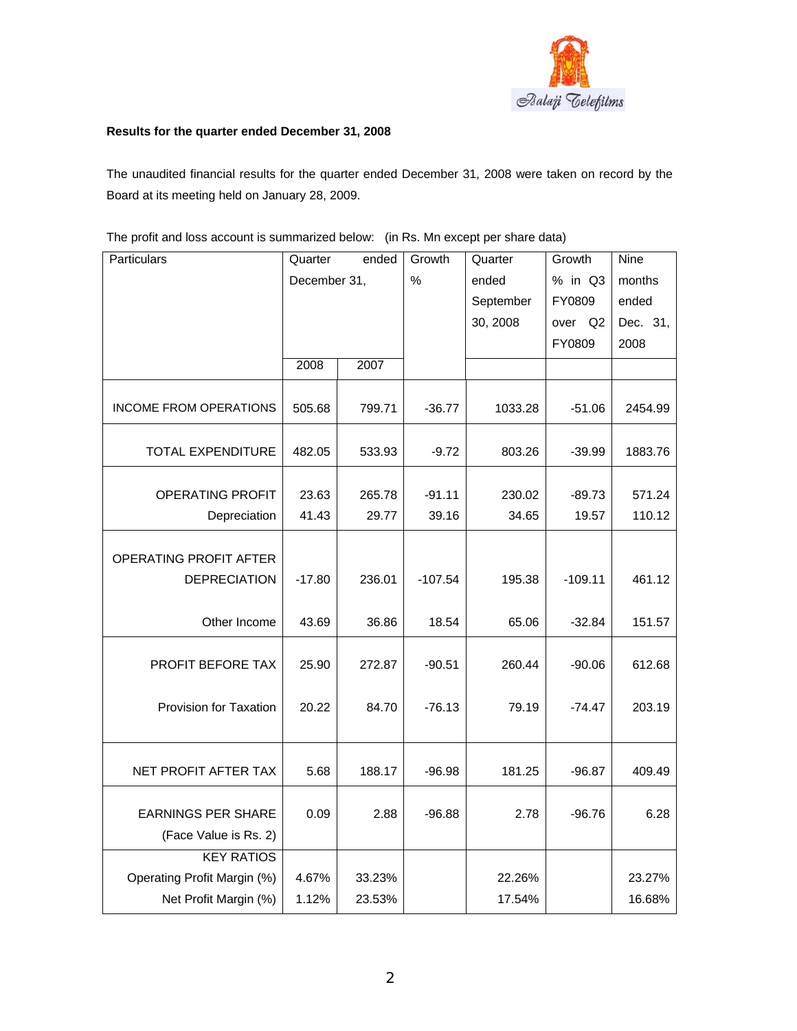

# **Results for the quarter ended December 31, 2008**

The unaudited financial results for the quarter ended December 31, 2008 were taken on record by the Board at its meeting held on January 28, 2009.

| Particulars                   | Quarter      |        | Growth<br>Quarter |           | Growth     | <b>Nine</b> |
|-------------------------------|--------------|--------|-------------------|-----------|------------|-------------|
|                               | December 31, |        | $\frac{0}{0}$     | ended     | % in Q3    | months      |
|                               |              |        |                   | September | FY0809     | ended       |
|                               |              |        |                   | 30, 2008  | over<br>Q2 | Dec. 31,    |
|                               |              |        |                   |           | FY0809     | 2008        |
|                               | 2008         | 2007   |                   |           |            |             |
| <b>INCOME FROM OPERATIONS</b> | 505.68       | 799.71 | $-36.77$          | 1033.28   | $-51.06$   | 2454.99     |
| <b>TOTAL EXPENDITURE</b>      | 482.05       | 533.93 | $-9.72$           | 803.26    | $-39.99$   | 1883.76     |
| <b>OPERATING PROFIT</b>       | 23.63        | 265.78 | $-91.11$          | 230.02    | $-89.73$   | 571.24      |
| Depreciation                  | 41.43        | 29.77  | 39.16             | 34.65     | 19.57      | 110.12      |
|                               |              |        |                   |           |            |             |
| OPERATING PROFIT AFTER        |              |        |                   |           |            |             |
| <b>DEPRECIATION</b>           | $-17.80$     | 236.01 | $-107.54$         | 195.38    | $-109.11$  | 461.12      |
| Other Income                  | 43.69        | 36.86  | 18.54             | 65.06     | $-32.84$   | 151.57      |
| PROFIT BEFORE TAX             | 25.90        | 272.87 | $-90.51$          | 260.44    | $-90.06$   | 612.68      |
| Provision for Taxation        | 20.22        | 84.70  | $-76.13$          | 79.19     | $-74.47$   | 203.19      |
|                               |              |        |                   |           |            |             |
| NET PROFIT AFTER TAX          | 5.68         | 188.17 | $-96.98$          | 181.25    | $-96.87$   | 409.49      |
| <b>EARNINGS PER SHARE</b>     | 0.09         | 2.88   | $-96.88$          | 2.78      | $-96.76$   | 6.28        |
| (Face Value is Rs. 2)         |              |        |                   |           |            |             |
| <b>KEY RATIOS</b>             |              |        |                   |           |            |             |
| Operating Profit Margin (%)   | 4.67%        | 33.23% |                   | 22.26%    |            | 23.27%      |
| Net Profit Margin (%)         | 1.12%        | 23.53% |                   | 17.54%    |            | 16.68%      |

The profit and loss account is summarized below: (in Rs. Mn except per share data)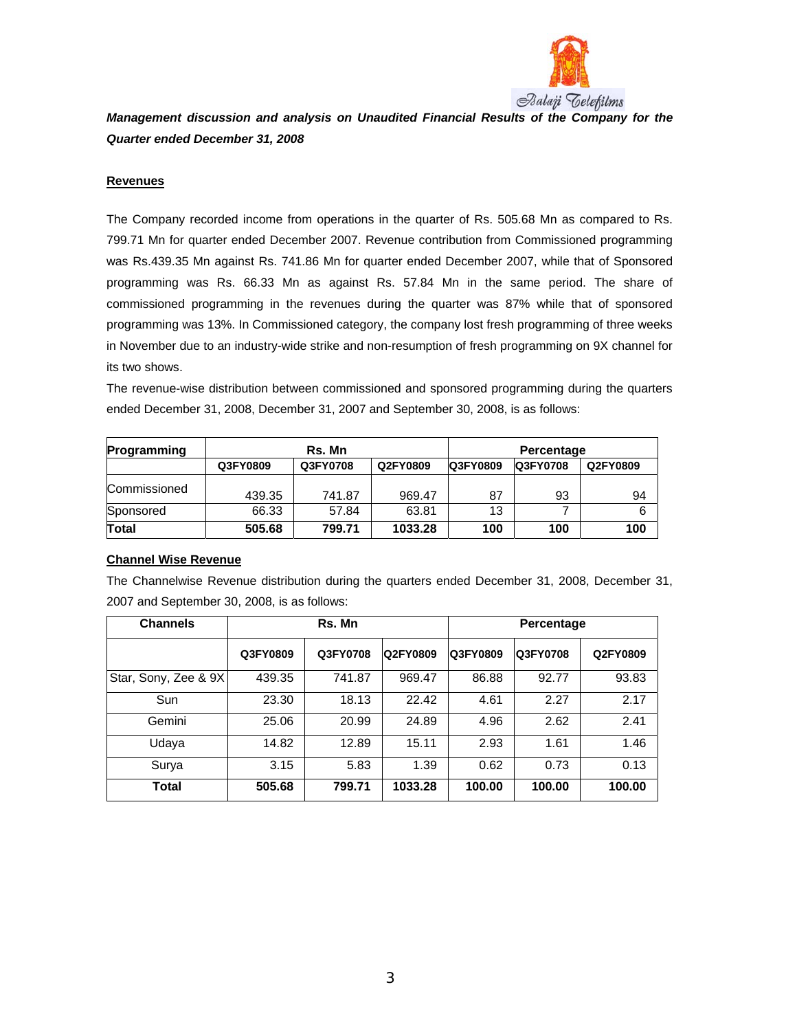

*Management discussion and analysis on Unaudited Financial Results of the Company for the Quarter ended December 31, 2008* 

## **Revenues**

The Company recorded income from operations in the quarter of Rs. 505.68 Mn as compared to Rs. 799.71 Mn for quarter ended December 2007. Revenue contribution from Commissioned programming was Rs.439.35 Mn against Rs. 741.86 Mn for quarter ended December 2007, while that of Sponsored programming was Rs. 66.33 Mn as against Rs. 57.84 Mn in the same period. The share of commissioned programming in the revenues during the quarter was 87% while that of sponsored programming was 13%. In Commissioned category, the company lost fresh programming of three weeks in November due to an industry-wide strike and non-resumption of fresh programming on 9X channel for its two shows.

The revenue-wise distribution between commissioned and sponsored programming during the quarters ended December 31, 2008, December 31, 2007 and September 30, 2008, is as follows:

| Programming  | Rs. Mn   |          |          | Percentage      |                 |          |  |
|--------------|----------|----------|----------|-----------------|-----------------|----------|--|
|              | Q3FY0809 | Q3FY0708 | Q2FY0809 | <b>Q3FY0809</b> | <b>Q3FY0708</b> | Q2FY0809 |  |
| Commissioned | 439.35   | 741.87   | 969.47   | 87              | 93              | 94       |  |
| Sponsored    | 66.33    | 57.84    | 63.81    | 13              |                 | 6        |  |
| <b>Total</b> | 505.68   | 799.71   | 1033.28  | 100             | 100             | 100      |  |

## **Channel Wise Revenue**

The Channelwise Revenue distribution during the quarters ended December 31, 2008, December 31, 2007 and September 30, 2008, is as follows:

| <b>Channels</b>      | Rs. Mn   |          |                 | Percentage |          |          |
|----------------------|----------|----------|-----------------|------------|----------|----------|
|                      | Q3FY0809 | Q3FY0708 | <b>Q2FY0809</b> | Q3FY0809   | Q3FY0708 | Q2FY0809 |
| Star, Sony, Zee & 9X | 439.35   | 741.87   | 969.47          | 86.88      | 92.77    | 93.83    |
| Sun                  | 23.30    | 18.13    | 22.42           | 4.61       | 2.27     | 2.17     |
| Gemini               | 25.06    | 20.99    | 24.89           | 4.96       | 2.62     | 2.41     |
| Udaya                | 14.82    | 12.89    | 15.11           | 2.93       | 1.61     | 1.46     |
| Surya                | 3.15     | 5.83     | 1.39            | 0.62       | 0.73     | 0.13     |
| Total                | 505.68   | 799.71   | 1033.28         | 100.00     | 100.00   | 100.00   |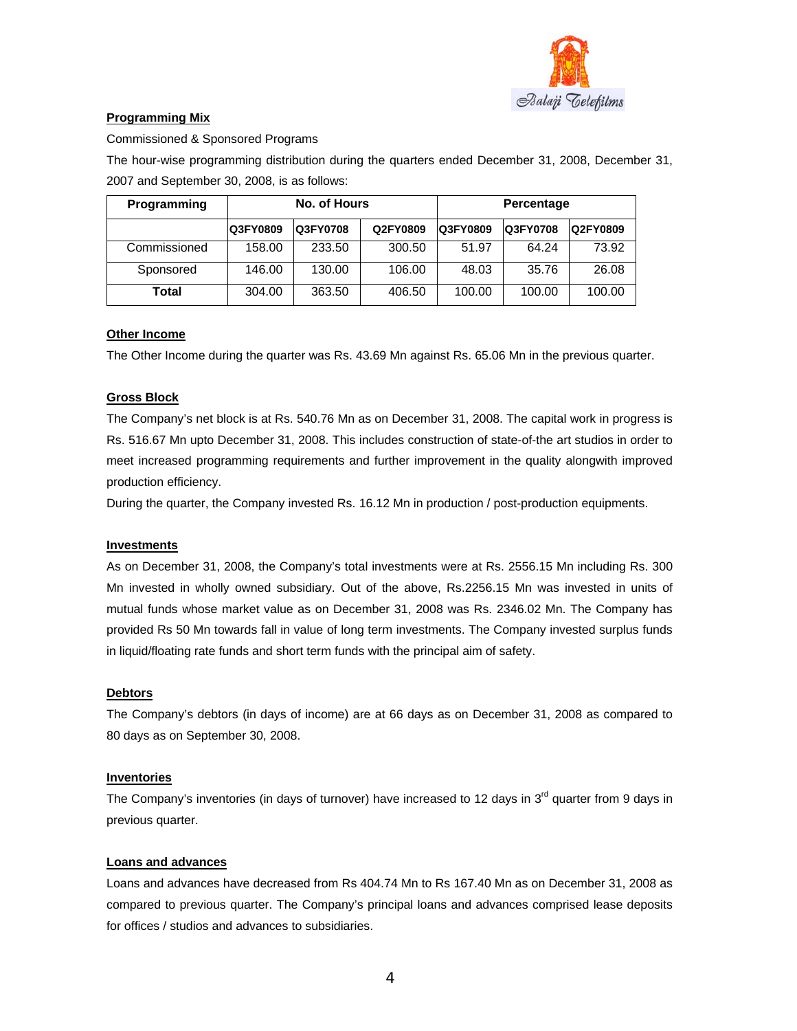

# **Programming Mix**

Commissioned & Sponsored Programs

The hour-wise programming distribution during the quarters ended December 31, 2008, December 31, 2007 and September 30, 2008, is as follows:

| <b>Programming</b> | No. of Hours |          |          | Percentage |                 |          |
|--------------------|--------------|----------|----------|------------|-----------------|----------|
|                    | Q3FY0809     | Q3FY0708 | Q2FY0809 | Q3FY0809   | <b>Q3FY0708</b> | Q2FY0809 |
| Commissioned       | 158.00       | 233.50   | 300.50   | 51.97      | 64.24           | 73.92    |
| Sponsored          | 146.00       | 130.00   | 106.00   | 48.03      | 35.76           | 26.08    |
| Total              | 304.00       | 363.50   | 406.50   | 100.00     | 100.00          | 100.00   |

# **Other Income**

The Other Income during the quarter was Rs. 43.69 Mn against Rs. 65.06 Mn in the previous quarter.

# **Gross Block**

The Company's net block is at Rs. 540.76 Mn as on December 31, 2008. The capital work in progress is Rs. 516.67 Mn upto December 31, 2008. This includes construction of state-of-the art studios in order to meet increased programming requirements and further improvement in the quality alongwith improved production efficiency.

During the quarter, the Company invested Rs. 16.12 Mn in production / post-production equipments.

## **Investments**

As on December 31, 2008, the Company's total investments were at Rs. 2556.15 Mn including Rs. 300 Mn invested in wholly owned subsidiary. Out of the above, Rs.2256.15 Mn was invested in units of mutual funds whose market value as on December 31, 2008 was Rs. 2346.02 Mn. The Company has provided Rs 50 Mn towards fall in value of long term investments. The Company invested surplus funds in liquid/floating rate funds and short term funds with the principal aim of safety.

# **Debtors**

The Company's debtors (in days of income) are at 66 days as on December 31, 2008 as compared to 80 days as on September 30, 2008.

## **Inventories**

The Company's inventories (in days of turnover) have increased to 12 days in  $3<sup>rd</sup>$  quarter from 9 days in previous quarter.

# **Loans and advances**

Loans and advances have decreased from Rs 404.74 Mn to Rs 167.40 Mn as on December 31, 2008 as compared to previous quarter. The Company's principal loans and advances comprised lease deposits for offices / studios and advances to subsidiaries.